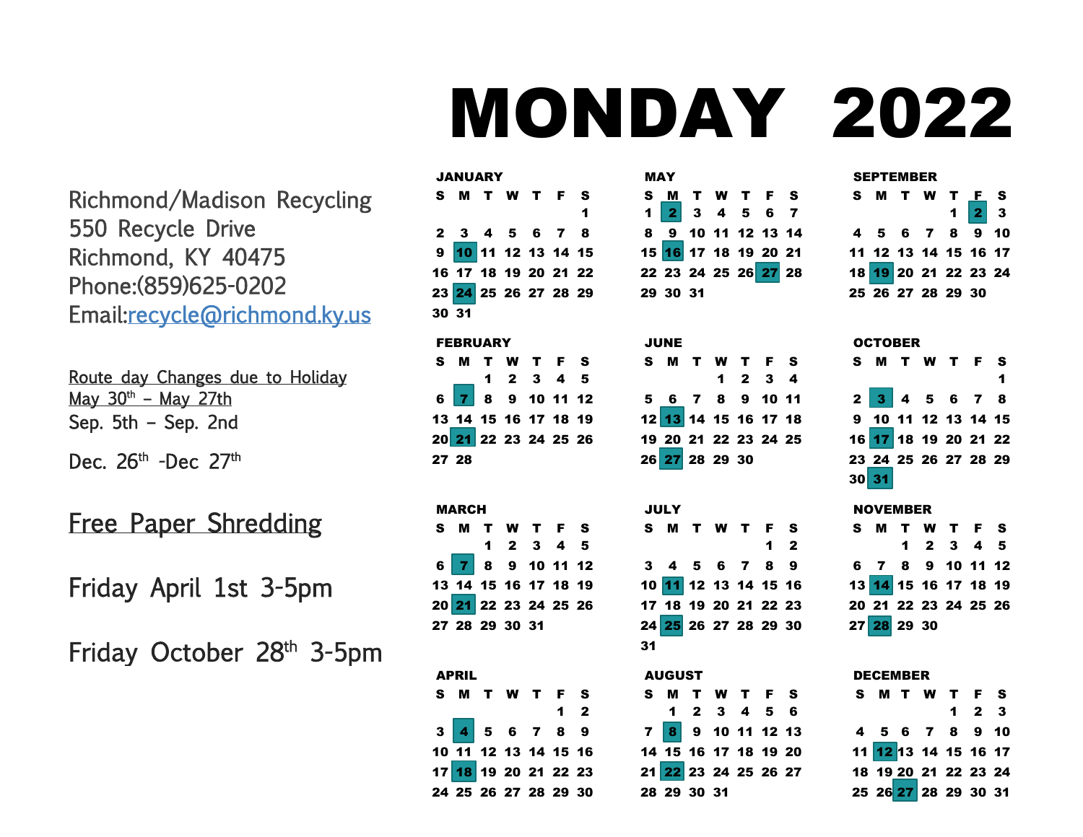# MONDAY 2022

S M T W T F

 9 10 11 12 13 14 16 17 18 19 20 21 23 24 25 26 27 28

 6 7 8 9 10 11 13 14 15 16 17 18

 $2 \t3 \t4$ 

 $2$  3 4

30 31

JUNE S M T

MAY

Richmond/Madison Recycling 550 Recycle Drive Richmond, KY 40475 Phone:(859)625-0202 Email[:recycle@richmond.ky.us](mailto:recycle@richmond.ky.us)

Route day Changes due to Holiday May  $30<sup>th</sup>$  – May 27th Sep. 5th – Sep. 2nd

Dec.  $26<sup>th</sup>$  -Dec.  $27<sup>th</sup>$ 

Free Paper Shredding

Friday April 1st 3-5pm

Friday October 28<sup>th</sup> 3-5pm

|       |              | <b>JANUARY</b>  |              |                                     |                         |   |
|-------|--------------|-----------------|--------------|-------------------------------------|-------------------------|---|
|       | S M          |                 |              | T W T F S                           |                         |   |
|       |              |                 |              |                                     |                         | 1 |
|       |              |                 |              | 2 3 4 5 6 7 8                       |                         |   |
|       |              |                 |              | 9 10 11 12 13 14 15                 |                         |   |
|       |              |                 |              | 16 17 18 19 20 21 22                |                         |   |
|       |              |                 |              | 23 24 25 26 27 28 29                |                         |   |
| 30 31 |              |                 |              |                                     |                         |   |
|       |              | <b>FEBRUARY</b> |              |                                     |                         |   |
| S.    | M            |                 |              | T W T F S                           |                         |   |
|       |              |                 |              | $1 \quad 2 \quad 3 \quad 4 \quad 5$ |                         |   |
|       |              |                 |              | 6 7 8 9 10 11 12                    |                         |   |
|       |              |                 |              | 13 14 15 16 17 18 19                |                         |   |
|       |              |                 |              | 20 21 22 23 24 25 26                |                         |   |
| 27 28 |              |                 |              |                                     |                         |   |
|       | <b>MARCH</b> |                 |              |                                     |                         |   |
| s     |              |                 |              | T W T F S                           |                         |   |
|       |              | $\blacksquare$  | $\mathbf{2}$ | $\overline{\mathbf{3}}$             | $\overline{\mathbf{4}}$ | 5 |

 7 8 9 10 11 12 14 15 16 17 18 19 21 22 23 24 25 26

S M T W T F S

 4 5 6 7 8 9 11 12 13 14 15 16 18 19 20 21 22 23 25 26 27 28 29 30

2

28 29 30 31

APRIL

|  |             | 19 20 21 22 23 24 25 |  |                                       |
|--|-------------|----------------------|--|---------------------------------------|
|  |             | 26 27 28 29 30       |  |                                       |
|  |             |                      |  |                                       |
|  | <b>JULY</b> |                      |  |                                       |
|  |             | S M T W T F S        |  |                                       |
|  |             |                      |  | $\begin{array}{cc} 1 & 2 \end{array}$ |
|  |             | 3 4 5 6 7 8 9        |  |                                       |
|  |             | 10 11 12 13 14 15 16 |  |                                       |
|  |             | 17 18 19 20 21 22 23 |  |                                       |
|  |             | 24 25 26 27 28 29 30 |  |                                       |
|  |             |                      |  |                                       |

## AUGUST S M T W 2 3 4 5 6 8 9 10 11 12 13 15 16 17 18 19 20 22 23 24 25 26 27 29 30 31

| S M T W T F S<br>1 2 3 |  |
|------------------------|--|
| 4 5 6 7 8 9 10         |  |
| 11 12 13 14 15 16 17   |  |
| 18 19 20 21 22 23 24   |  |
| 25 26 27 28 29 30      |  |

|                                       | <b>OCTOBER</b>       |  |   |
|---------------------------------------|----------------------|--|---|
|                                       | <b>SMTWTFS</b>       |  |   |
|                                       |                      |  | 1 |
|                                       | 2 3 4 5 6 7 8        |  |   |
|                                       | 9 10 11 12 13 14 15  |  |   |
|                                       | 16 17 18 19 20 21 22 |  |   |
|                                       | 23 24 25 26 27 28 29 |  |   |
| $30\overline{\smash{\big }\ 31\big }$ |                      |  |   |

#### NOVEMBER

|  | S M T W T F S            |                                     |  |
|--|--------------------------|-------------------------------------|--|
|  |                          | $1 \quad 2 \quad 3 \quad 4 \quad 5$ |  |
|  | 6 7 8 9 10 11 12         |                                     |  |
|  |                          |                                     |  |
|  | 20 21 22 23 24 25 26     |                                     |  |
|  | 27 <mark>28</mark> 29 30 |                                     |  |

| JELEMBER |  |  |
|----------|--|--|
| S M T W  |  |  |

DECEMBER

|  | S M T W T F S        |                     |  |
|--|----------------------|---------------------|--|
|  |                      | $1 \quad 2 \quad 3$ |  |
|  | 4 5 6 7 8 9 10       |                     |  |
|  | 11 12 13 14 15 16 17 |                     |  |
|  | 18 19 20 21 22 23 24 |                     |  |
|  |                      |                     |  |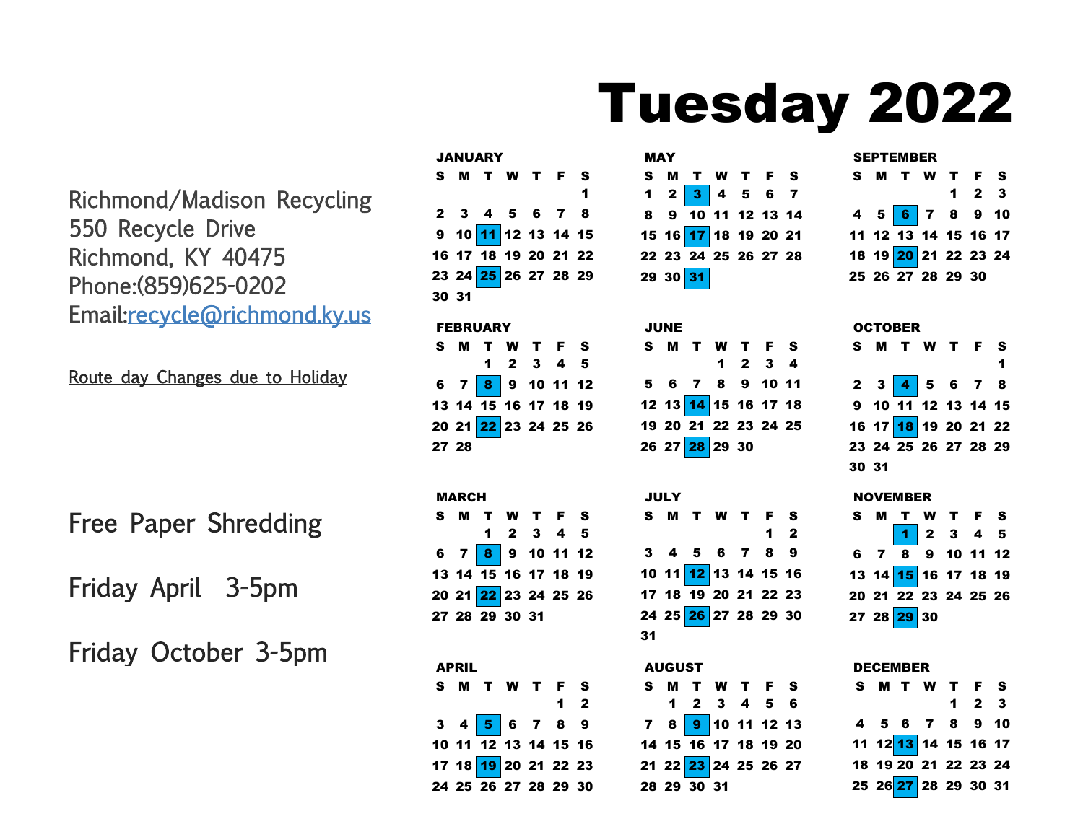# Tuesday 2022

Richmond/Madison Recycling 550 Recycle Drive Richmond, KY 40475 Phone:(859)625-0202 Email[:recycle@richmond.ky.us](mailto:recycle@richmond.ky.us)

Route day Changes due to Holiday

Free Paper Shredding

Friday April 3-5pm

Friday October 3-5pm

|       | <b>JANUARY</b>                   |  |   |
|-------|----------------------------------|--|---|
|       | S M T W T F S                    |  |   |
|       |                                  |  | 1 |
|       | 2 3 4 5 6 7 8                    |  |   |
|       | $9 10 \overline{11} 12 13 14 15$ |  |   |
|       | 16 17 18 19 20 21 22             |  |   |
|       | 23 24 25 26 27 28 29             |  |   |
| 30 31 |                                  |  |   |
|       |                                  |  |   |

#### FEBRUARY

|       | S M T W T F S                     |           |  |
|-------|-----------------------------------|-----------|--|
|       |                                   | 1 2 3 4 5 |  |
|       | 6 7 8 9 10 11 12                  |           |  |
|       | 13 14 15 16 17 18 19              |           |  |
|       | 20 21 <mark>22</mark> 23 24 25 26 |           |  |
| 27 28 |                                   |           |  |

MARCH S M T W T F S 2 3 4 5  $6 \t7 \t8 \t9 \t10 \t11 \t12$  14 15 16 17 18 19 21 22 23 24 25 26 28 29 30 31

| <b>APRIL</b> |                                     |  |             |  |
|--------------|-------------------------------------|--|-------------|--|
|              | S M T W T F S                       |  |             |  |
|              |                                     |  | $1 \quad 2$ |  |
|              | $3$ 4 $5$ 6 7 8 9                   |  |             |  |
|              | $10$ 11 $\overline{12}$ 13 14 15 16 |  |             |  |
|              | 17 18 19 20 21 22 23                |  |             |  |
|              | 24 25 26 27 28 29 30                |  |             |  |

| <b>MAY</b> |                             |  |  |
|------------|-----------------------------|--|--|
| S.         | <b>MTWTFS</b>               |  |  |
|            | $1 \t2 \t3 \t4 \t5 \t6 \t7$ |  |  |
|            | 8 9 10 11 12 13 14          |  |  |
|            | 15 16 17 18 19 20 21        |  |  |
|            | 22 23 24 25 26 27 28        |  |  |
|            | $2930\overline{31}$         |  |  |

# JUNE S M T 2 3 4 6 7 8 9 10 11 12 13 14 15 16 17 18 20 21 22 23 24 25 26 27 28 29 30

|    | JULY |                      |  |                |  |
|----|------|----------------------|--|----------------|--|
|    |      | S M T W T F S        |  |                |  |
|    |      |                      |  | 1 <sub>2</sub> |  |
|    |      | 3 4 5 6 7 8 9        |  |                |  |
|    |      | 10 11 12 13 14 15 16 |  |                |  |
|    |      | 17 18 19 20 21 22 23 |  |                |  |
|    |      | 24 25 26 27 28 29 30 |  |                |  |
| 31 |      |                      |  |                |  |

| <b>AUGUST</b> |  |             |                                |  |  |  |  |  |
|---------------|--|-------------|--------------------------------|--|--|--|--|--|
|               |  |             | S M T W T F S                  |  |  |  |  |  |
|               |  |             | 1 2 3 4 5 6                    |  |  |  |  |  |
|               |  |             | 7 8 <mark>9</mark> 10 11 12 13 |  |  |  |  |  |
|               |  |             | 14 15 16 17 18 19 20           |  |  |  |  |  |
|               |  |             | 21 22 23 24 25 26 27           |  |  |  |  |  |
|               |  | 28 29 30 31 |                                |  |  |  |  |  |

| <b>SEPTEMBER</b> |  |                      |  |  |                     |  |  |  |
|------------------|--|----------------------|--|--|---------------------|--|--|--|
|                  |  | S M T W T F S        |  |  |                     |  |  |  |
|                  |  |                      |  |  | $1 \quad 2 \quad 3$ |  |  |  |
|                  |  | 4 5 6 7 8 9 10       |  |  |                     |  |  |  |
|                  |  | 11 12 13 14 15 16 17 |  |  |                     |  |  |  |
|                  |  | 18 19 20 21 22 23 24 |  |  |                     |  |  |  |
|                  |  | 25 26 27 28 29 30    |  |  |                     |  |  |  |

### **OCTOBER**

|       | S M T W T F S               |  | 1 |
|-------|-----------------------------|--|---|
|       | $2 \t3 \t4 \t5 \t6 \t7 \t8$ |  |   |
|       | $9$ 10 11 12 13 14 15       |  |   |
|       | 16 17 18 19 20 21 22        |  |   |
|       | 23 24 25 26 27 28 29        |  |   |
| 30 31 |                             |  |   |

| <b>NOVEMBER</b> |  |
|-----------------|--|
|-----------------|--|

|  | S M T W T F S                                                                                                           |  |  |
|--|-------------------------------------------------------------------------------------------------------------------------|--|--|
|  | $\begin{array}{ c c c c c }\hline \textbf{1} & \textbf{2} & \textbf{3} & \textbf{4} & \textbf{5} \\ \hline \end{array}$ |  |  |
|  | $6$ $7$ $\overline{8}$ 9 10 11 12                                                                                       |  |  |
|  | 13 14 15 16 17 18 19                                                                                                    |  |  |
|  | 20 21 22 23 24 25 26                                                                                                    |  |  |
|  | 27 28 29 30                                                                                                             |  |  |

#### DECEMBER

|  | S M T W T F S        |                     |  |
|--|----------------------|---------------------|--|
|  |                      | $1 \quad 2 \quad 3$ |  |
|  | 4 5 6 7 8 9 10       |                     |  |
|  | 11 12 13 14 15 16 17 |                     |  |
|  | 18 19 20 21 22 23 24 |                     |  |
|  | 25 26 27 28 29 30 31 |                     |  |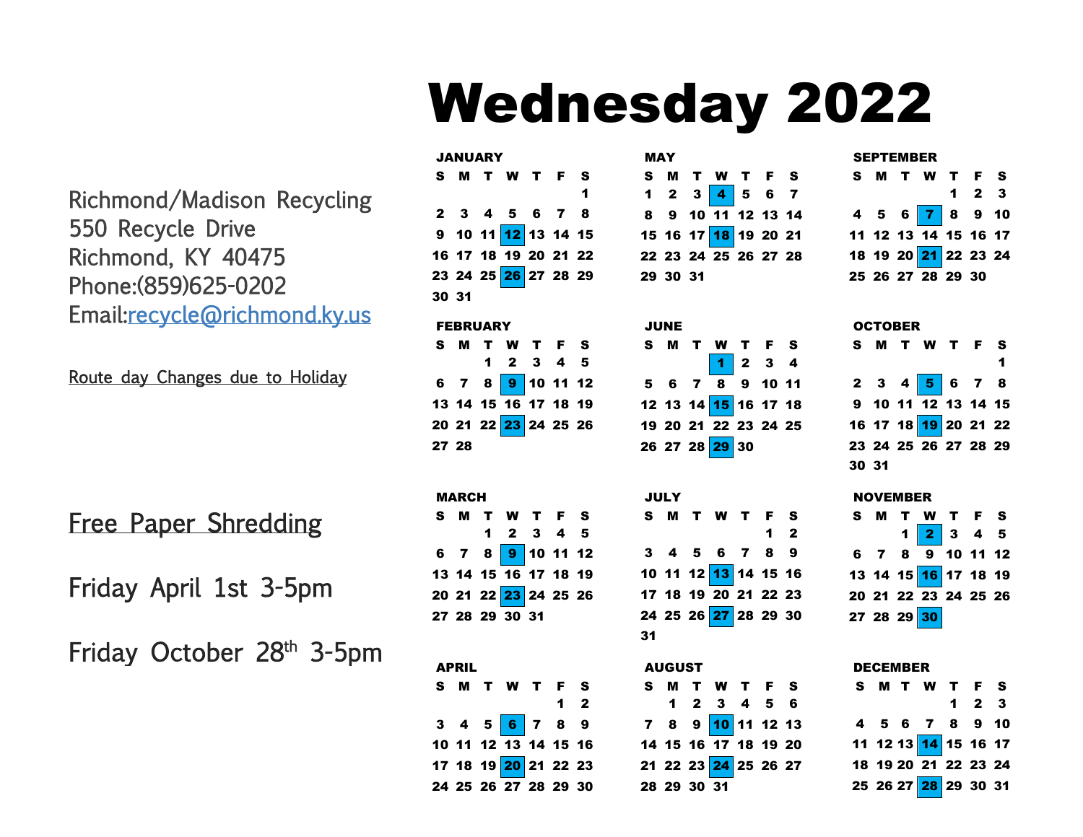# Wednesday 2022

Richmond/Madison Recycling 550 Recycle Drive Richmond, KY 40475 Phone:(859)625-0202 Email[:recycle@richmond.ky.us](mailto:recycle@richmond.ky.us)

Route day Changes due to Holiday

Free Paper Shredding

Friday April 1st 3-5pm

Friday October 28<sup>th</sup> 3-5pm

| <b>JANUARY</b>  |  |  |                      |  |  |   |  |  |
|-----------------|--|--|----------------------|--|--|---|--|--|
|                 |  |  | <b>SMTWTFS</b>       |  |  |   |  |  |
|                 |  |  |                      |  |  | 1 |  |  |
|                 |  |  | 2 3 4 5 6 7 8        |  |  |   |  |  |
|                 |  |  | 9 10 11 12 13 14 15  |  |  |   |  |  |
|                 |  |  | 16 17 18 19 20 21 22 |  |  |   |  |  |
|                 |  |  | 23 24 25 26 27 28 29 |  |  |   |  |  |
| 30 31           |  |  |                      |  |  |   |  |  |
| <b>FEBRUARY</b> |  |  |                      |  |  |   |  |  |
|                 |  |  | S M T W T F S        |  |  |   |  |  |

|       | 1 2 3 4 5                         |  |  |
|-------|-----------------------------------|--|--|
|       | 6 7 8 <mark>9</mark> 10 11 12     |  |  |
|       | 13 14 15 16 17 18 19              |  |  |
|       | 20 21 22 <mark>23</mark> 24 25 26 |  |  |
| 27 28 |                                   |  |  |

| <b>MARCH</b> |  |  |                                     |  |  |  |  |  |  |
|--------------|--|--|-------------------------------------|--|--|--|--|--|--|
|              |  |  | S M T W T F S                       |  |  |  |  |  |  |
|              |  |  | $1 \quad 2 \quad 3 \quad 4 \quad 5$ |  |  |  |  |  |  |
|              |  |  | 6 7 8 9 10 11 12                    |  |  |  |  |  |  |
|              |  |  | 13 14 15 16 17 18 19                |  |  |  |  |  |  |
|              |  |  | 20 21 22 23 24 25 26                |  |  |  |  |  |  |
|              |  |  | 27 28 29 30 31                      |  |  |  |  |  |  |
|              |  |  |                                     |  |  |  |  |  |  |

| <b>APRIL</b>         |  |                |  |
|----------------------|--|----------------|--|
| S M T W T F S        |  |                |  |
|                      |  | 1 <sub>2</sub> |  |
| $3$ 4 5 6 7 8 9      |  |                |  |
| 10 11 12 13 14 15 16 |  |                |  |
| 17 18 19 20 21 22 23 |  |                |  |
| 24 25 26 27 28 29 30 |  |                |  |

| MAY |          |  |                      |  |  |  |  |  |
|-----|----------|--|----------------------|--|--|--|--|--|
|     |          |  | S M T W T F S        |  |  |  |  |  |
|     |          |  | 1 2 3 4 5 6 7        |  |  |  |  |  |
|     |          |  | 8 9 10 11 12 13 14   |  |  |  |  |  |
|     |          |  | 15 16 17 18 19 20 21 |  |  |  |  |  |
|     |          |  | 22 23 24 25 26 27 28 |  |  |  |  |  |
|     | 29 30 31 |  |                      |  |  |  |  |  |

| JUNE |                               |  |  |
|------|-------------------------------|--|--|
|      |                               |  |  |
|      | S M T W T F S<br>1 2 3 4      |  |  |
|      | $5 \t6 \t7 \t8 \t9 \t10 \t11$ |  |  |
|      | 12 13 14 15 16 17 18          |  |  |
|      | 19 20 21 22 23 24 25          |  |  |
|      | 26 27 28 29 30                |  |  |

| JULY |                      |            |  |
|------|----------------------|------------|--|
|      | S M T W T F S        |            |  |
|      |                      | $1\quad 2$ |  |
|      | 3 4 5 6 7 8 9        |            |  |
|      | 10 11 12 13 14 15 16 |            |  |
|      | 17 18 19 20 21 22 23 |            |  |
|      | 24 25 26 27 28 29 30 |            |  |
|      |                      |            |  |

| <b>AUGUST</b> |                                |  |  |
|---------------|--------------------------------|--|--|
|               | S M T W T F S                  |  |  |
|               | 1 2 3 4 5 6                    |  |  |
|               | 7 8 9 <mark>10</mark> 11 12 13 |  |  |
|               | 14 15 16 17 18 19 20           |  |  |
|               | 21 22 23 24 25 26 27           |  |  |
| 28 29 30 31   |                                |  |  |

| <b>SEPTEMBER</b> |  |                             |  |                     |  |  |  |  |
|------------------|--|-----------------------------|--|---------------------|--|--|--|--|
|                  |  | S M T W T F S               |  |                     |  |  |  |  |
|                  |  |                             |  | $1 \quad 2 \quad 3$ |  |  |  |  |
|                  |  | 4 5 6 <mark>7</mark> 8 9 10 |  |                     |  |  |  |  |
|                  |  | 11 12 13 14 15 16 17        |  |                     |  |  |  |  |
|                  |  | 18 19 20 21 22 23 24        |  |                     |  |  |  |  |
|                  |  | 25 26 27 28 29 30           |  |                     |  |  |  |  |

|       | <b>OCTOBER</b> |  |                              |  |  |  |  |  |  |  |
|-------|----------------|--|------------------------------|--|--|--|--|--|--|--|
|       |                |  | S M T W T F S                |  |  |  |  |  |  |  |
|       |                |  |                              |  |  |  |  |  |  |  |
|       |                |  | $2$ 3 4 <mark>5</mark> 6 7 8 |  |  |  |  |  |  |  |
|       |                |  | 9 10 11 $12$ 13 14 15        |  |  |  |  |  |  |  |
|       |                |  | 16 17 18 19 20 21 22         |  |  |  |  |  |  |  |
|       |                |  | 23 24 25 26 27 28 29         |  |  |  |  |  |  |  |
| 30 31 |                |  |                              |  |  |  |  |  |  |  |
|       |                |  |                              |  |  |  |  |  |  |  |

| <b>NOVEMBER</b> |  |                                                                                                                   |  |  |  |  |  |  |  |
|-----------------|--|-------------------------------------------------------------------------------------------------------------------|--|--|--|--|--|--|--|
|                 |  | S M T W T F S                                                                                                     |  |  |  |  |  |  |  |
|                 |  | $\begin{array}{ c c c c c }\n\hline\n\textbf{1} & \textbf{2} & \textbf{3} & \textbf{4} & \textbf{5}\n\end{array}$ |  |  |  |  |  |  |  |
|                 |  | 6 7 8 9 10 11 12                                                                                                  |  |  |  |  |  |  |  |
|                 |  |                                                                                                                   |  |  |  |  |  |  |  |
|                 |  | 20 21 22 23 24 25 26                                                                                              |  |  |  |  |  |  |  |

|    |                 |  | 27 28 29 30 |  |  |  |  |  |  |
|----|-----------------|--|-------------|--|--|--|--|--|--|
|    |                 |  |             |  |  |  |  |  |  |
|    | <b>DECEMBER</b> |  |             |  |  |  |  |  |  |
| s. |                 |  | <b>MTWT</b> |  |  |  |  |  |  |

|  | S M T W T F S        |                     |  |
|--|----------------------|---------------------|--|
|  |                      | $1 \quad 2 \quad 3$ |  |
|  | 4 5 6 7 8 9 10       |                     |  |
|  | 11 12 13 14 15 16 17 |                     |  |
|  | 18 19 20 21 22 23 24 |                     |  |
|  |                      |                     |  |
|  |                      |                     |  |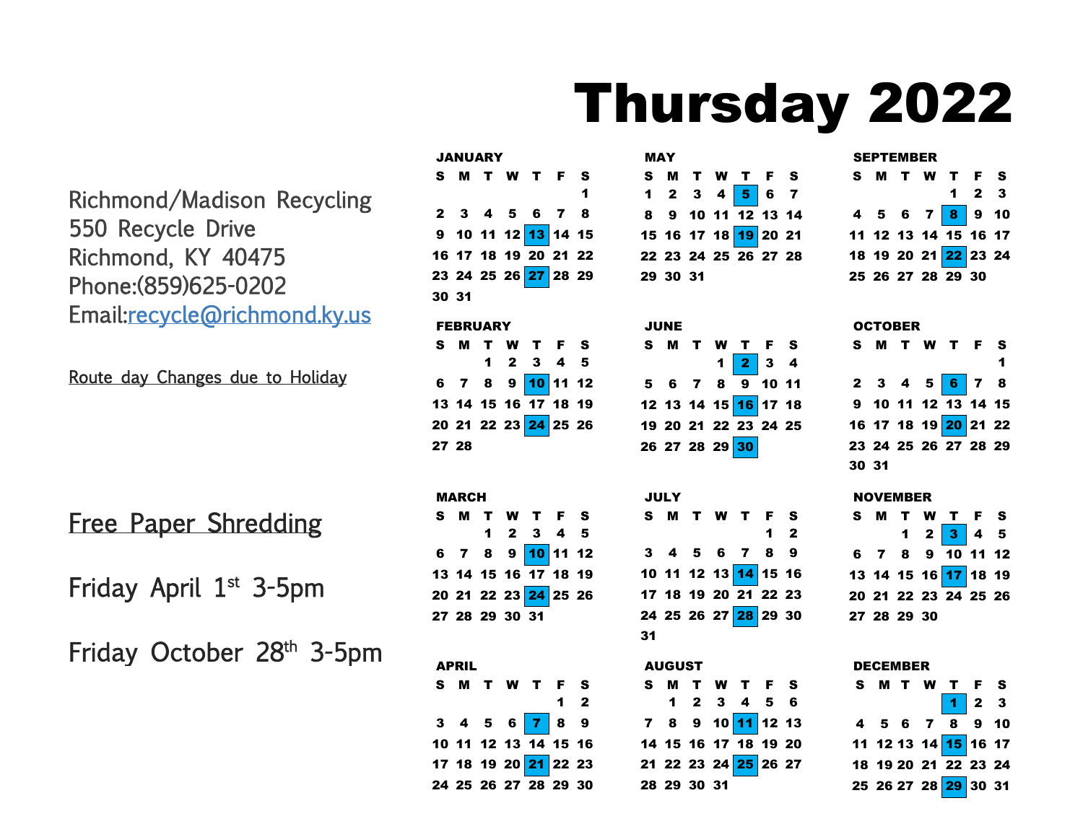# Thursday 2022

Richmond/Madison Recycling 550 Recycle Drive Richmond, KY 40475 Phone:(859)625-0202 Email[:recycle@richmond.ky.us](mailto:recycle@richmond.ky.us)

Route day Changes due to Holiday

Free Paper Shredding

Friday April 1<sup>st</sup> 3-5pm

Friday October 28<sup>th</sup> 3-5pm

|                 |              | <b>JANUARY</b> |                |                                              |       |                      |  |  |  |
|-----------------|--------------|----------------|----------------|----------------------------------------------|-------|----------------------|--|--|--|
|                 |              |                |                | S M T W T F S                                |       |                      |  |  |  |
|                 |              |                |                |                                              |       | $\blacktriangleleft$ |  |  |  |
|                 |              |                |                | 2 3 4 5 6 7 8                                |       |                      |  |  |  |
|                 |              |                |                | 9 10 11 12 13 14 15                          |       |                      |  |  |  |
|                 |              |                |                | 16 17 18 19 20 21 22                         |       |                      |  |  |  |
|                 |              |                |                | 23  24  25  26 <mark>27</mark> 28  29        |       |                      |  |  |  |
| 30 31           |              |                |                |                                              |       |                      |  |  |  |
| <b>FEBRUARY</b> |              |                |                |                                              |       |                      |  |  |  |
|                 |              |                |                | S M T W T F S                                |       |                      |  |  |  |
|                 |              |                |                | $1 \quad 2 \quad 3 \quad 4 \quad 5$          |       |                      |  |  |  |
|                 |              |                |                | 6 7 8 9 10 11 12                             |       |                      |  |  |  |
|                 |              |                |                | 13 14 15 16 17 18 19                         |       |                      |  |  |  |
|                 |              |                |                | 20 21 22 23 24 25 26                         |       |                      |  |  |  |
|                 | 27 28        |                |                |                                              |       |                      |  |  |  |
|                 |              |                |                |                                              |       |                      |  |  |  |
|                 | <b>MARCH</b> |                |                |                                              |       |                      |  |  |  |
|                 |              |                |                |                                              |       |                      |  |  |  |
|                 |              |                |                |                                              |       |                      |  |  |  |
|                 |              |                |                |                                              |       | $\bf 5$              |  |  |  |
|                 |              |                |                | S M T W T F S<br>1 2 3 4 5                   |       |                      |  |  |  |
|                 |              |                |                | 6 7 8 9 <mark>10</mark> 11 12                |       |                      |  |  |  |
|                 |              |                |                | 13 14 15 16 17 18 19                         |       |                      |  |  |  |
|                 |              |                | 27 28 29 30 31 | 20 21 22 23 <mark>24</mark> 25 26            |       |                      |  |  |  |
|                 |              |                |                |                                              |       |                      |  |  |  |
|                 |              |                |                |                                              |       |                      |  |  |  |
|                 | <b>APRIL</b> |                |                |                                              |       |                      |  |  |  |
|                 |              |                |                | S M T W T F S                                |       |                      |  |  |  |
|                 |              |                |                |                                              | $1 2$ |                      |  |  |  |
|                 |              |                |                | $3$ 4 5 6 7 8 9                              |       |                      |  |  |  |
|                 |              |                |                | 10 11 12 13 14 15 16<br>17 18 19 20 21 22 23 |       |                      |  |  |  |

25 26 27 28 29 30

| <b>MAY</b> |          |  |  |                                       |  |  |  |  |  |
|------------|----------|--|--|---------------------------------------|--|--|--|--|--|
|            |          |  |  | S M T W T F S                         |  |  |  |  |  |
|            |          |  |  | 1 2 3 4 <mark>5</mark> 6 7            |  |  |  |  |  |
|            |          |  |  | $8$ 9 10 11 12 13 14                  |  |  |  |  |  |
|            |          |  |  | 15  16  17  18 <mark>19</mark> 20  21 |  |  |  |  |  |
|            |          |  |  | 22 23 24 25 26 27 28                  |  |  |  |  |  |
|            | 29 30 31 |  |  |                                       |  |  |  |  |  |

| JUNE |  |                                                                 |  |
|------|--|-----------------------------------------------------------------|--|
|      |  | S M T W T F S                                                   |  |
|      |  | $1 \begin{array}{ c c } \hline 2 & 3 & 4 \\ \hline \end{array}$ |  |
|      |  | $5$ 6 7 8 9 10 11                                               |  |
|      |  | 12 13 14 15 <mark>16</mark> 17 18                               |  |
|      |  | 19 20 21 22 23 24 25                                            |  |
|      |  | 26 27 28 29 30                                                  |  |

|    | JULY |  |                      |            |  |
|----|------|--|----------------------|------------|--|
|    |      |  | <b>SMTWTFS</b>       |            |  |
|    |      |  |                      | $1\quad 2$ |  |
|    |      |  | 3 4 5 6 7 8 9        |            |  |
|    |      |  | 10 11 12 13 14 15 16 |            |  |
|    |      |  | 17 18 19 20 21 22 23 |            |  |
|    |      |  | 24 25 26 27 28 29 30 |            |  |
| 31 |      |  |                      |            |  |

|    | <b>AUGUST</b> |  |                      |  |
|----|---------------|--|----------------------|--|
| S. |               |  | <b>MTWTFS</b>        |  |
|    |               |  | 1 2 3 4 5 6          |  |
|    |               |  | 7 8 9 10 11 12 13    |  |
|    |               |  | 14 15 16 17 18 19 20 |  |
|    |               |  | 21 22 23 24 25 26 27 |  |
|    | 28 29 30 31   |  |                      |  |

| <b>SEPTEMBER</b> |  |  |                                                     |                     |  |  |  |  |  |  |
|------------------|--|--|-----------------------------------------------------|---------------------|--|--|--|--|--|--|
|                  |  |  | S M T W T F S                                       |                     |  |  |  |  |  |  |
|                  |  |  |                                                     | $1 \quad 2 \quad 3$ |  |  |  |  |  |  |
|                  |  |  | 4 5 6 7 <mark>8</mark> 9 10<br>11 12 13 14 15 16 17 |                     |  |  |  |  |  |  |
|                  |  |  |                                                     |                     |  |  |  |  |  |  |
|                  |  |  | 18 19 20 21 22 23 24                                |                     |  |  |  |  |  |  |
|                  |  |  | 25 26 27 28 29 30                                   |                     |  |  |  |  |  |  |

| <b>OCTOBER</b> |  |  |  |                                                   |  |  |  |  |  |
|----------------|--|--|--|---------------------------------------------------|--|--|--|--|--|
|                |  |  |  | S M T W T F S                                     |  |  |  |  |  |
|                |  |  |  |                                                   |  |  |  |  |  |
|                |  |  |  | 2 3 4 5 <mark>6</mark> 7 8<br>9 10 11 12 13 14 15 |  |  |  |  |  |
|                |  |  |  |                                                   |  |  |  |  |  |
|                |  |  |  | 16 17 18 19 20 21 22                              |  |  |  |  |  |
|                |  |  |  | 23 24 25 26 27 28 29                              |  |  |  |  |  |
| 30 31          |  |  |  |                                                   |  |  |  |  |  |

#### NOVEMBER

|  |             | S M T W T F S                       |  |
|--|-------------|-------------------------------------|--|
|  |             | $1 \quad 2 \quad 3 \quad 4 \quad 5$ |  |
|  |             | $6$ 7 8 9 10 11 12                  |  |
|  |             | 13 14 15 16 17 18 19                |  |
|  |             | 20 21 22 23 24 25 26                |  |
|  | 27 28 29 30 |                                     |  |

| <b>DECEMBER</b> |  |  |                                                                                               |  |  |  |  |  |  |  |
|-----------------|--|--|-----------------------------------------------------------------------------------------------|--|--|--|--|--|--|--|
|                 |  |  | S M T W T F S                                                                                 |  |  |  |  |  |  |  |
|                 |  |  | $\begin{array}{ c c c c c }\hline \textbf{1} & \textbf{2} & \textbf{3} \\ \hline \end{array}$ |  |  |  |  |  |  |  |
|                 |  |  | $4\ 5\ 6\ 7\ 8\ 9\ 10$                                                                        |  |  |  |  |  |  |  |
|                 |  |  | 11  12 13  14 <mark>15</mark> 16  17                                                          |  |  |  |  |  |  |  |
|                 |  |  | 18 19 20 21 22 23 24                                                                          |  |  |  |  |  |  |  |
|                 |  |  |                                                                                               |  |  |  |  |  |  |  |